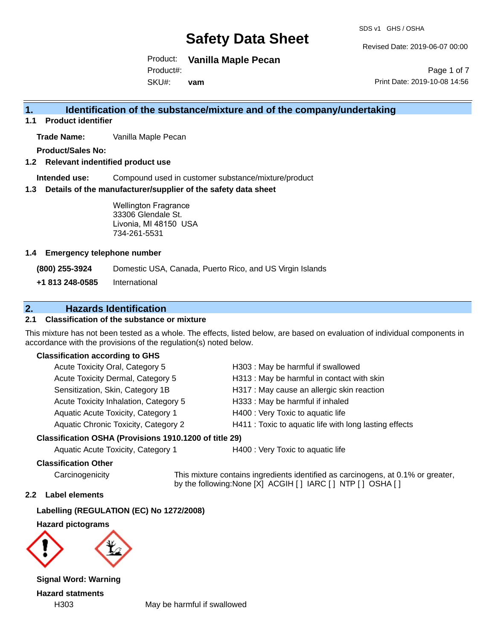SDS v1 GHS / OSHA

Revised Date: 2019-06-07 00:00

Print Date: 2019-10-08 14:56

Page 1 of 7

Product: **Vanilla Maple Pecan** Product#:

SKU#: **vam**

# **1. Identification of the substance/mixture and of the company/undertaking**

**1.1 Product identifier**

**Trade Name:** Vanilla Maple Pecan

**Product/Sales No:**

#### **1.2 Relevant indentified product use**

**Intended use:** Compound used in customer substance/mixture/product

#### **1.3 Details of the manufacturer/supplier of the safety data sheet**

Wellington Fragrance 33306 Glendale St. Livonia, MI 48150 USA 734-261-5531

#### **1.4 Emergency telephone number**

**(800) 255-3924** Domestic USA, Canada, Puerto Rico, and US Virgin Islands

**+1 813 248-0585** International

### **2. Hazards Identification**

#### **2.1 Classification of the substance or mixture**

This mixture has not been tested as a whole. The effects, listed below, are based on evaluation of individual components in accordance with the provisions of the regulation(s) noted below.

#### **Classification according to GHS**

| Acute Toxicity Oral, Category 5       | H303 : May be harmful if swallowed                     |
|---------------------------------------|--------------------------------------------------------|
| Acute Toxicity Dermal, Category 5     | H313 : May be harmful in contact with skin             |
| Sensitization, Skin, Category 1B      | H317 : May cause an allergic skin reaction             |
| Acute Toxicity Inhalation, Category 5 | H333: May be harmful if inhaled                        |
| Aquatic Acute Toxicity, Category 1    | H400 : Very Toxic to aquatic life                      |
| Aquatic Chronic Toxicity, Category 2  | H411 : Toxic to aquatic life with long lasting effects |
|                                       |                                                        |

#### **Classification OSHA (Provisions 1910.1200 of title 29)**

Aquatic Acute Toxicity, Category 1 H400 : Very Toxic to aquatic life

#### **Classification Other**

Carcinogenicity This mixture contains ingredients identified as carcinogens, at 0.1% or greater, by the following:None [X] ACGIH [ ] IARC [ ] NTP [ ] OSHA [ ]

#### **2.2 Label elements**

**Labelling (REGULATION (EC) No 1272/2008)**

**Hazard pictograms**



**Signal Word: Warning Hazard statments**

H303 May be harmful if swallowed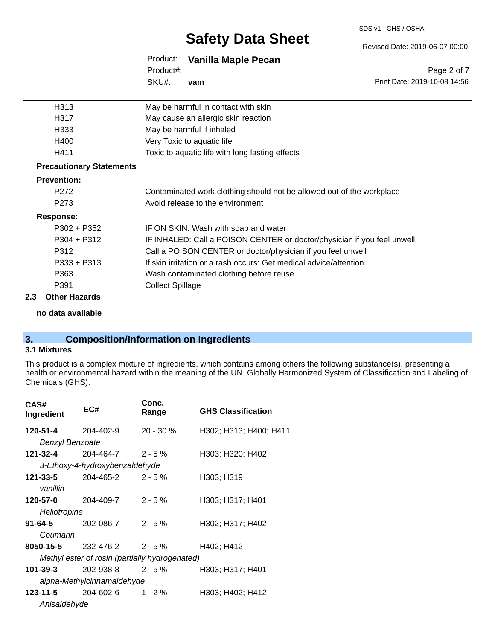#### SDS v1 GHS / OSHA

# **Safety Data Sheet**

Revised Date: 2019-06-07 00:00

|           | Product: Vanilla Maple Pecan |
|-----------|------------------------------|
| Product#: |                              |
| SKU#:     | vam                          |

Page 2 of 7 Print Date: 2019-10-08 14:56

| H313                            | May be harmful in contact with skin                                     |
|---------------------------------|-------------------------------------------------------------------------|
| H317                            | May cause an allergic skin reaction                                     |
| H333                            | May be harmful if inhaled                                               |
| H400                            | Very Toxic to aquatic life                                              |
| H411                            | Toxic to aquatic life with long lasting effects                         |
| <b>Precautionary Statements</b> |                                                                         |
| <b>Prevention:</b>              |                                                                         |
| P <sub>272</sub>                | Contaminated work clothing should not be allowed out of the workplace   |
| P <sub>273</sub>                | Avoid release to the environment                                        |
| Response:                       |                                                                         |
| $P302 + P352$                   | IF ON SKIN: Wash with soap and water                                    |
| $P304 + P312$                   | IF INHALED: Call a POISON CENTER or doctor/physician if you feel unwell |
| P312                            | Call a POISON CENTER or doctor/physician if you feel unwell             |
| $P333 + P313$                   | If skin irritation or a rash occurs: Get medical advice/attention       |
| P363                            | Wash contaminated clothing before reuse                                 |
| P391                            | <b>Collect Spillage</b>                                                 |

#### **2.3 Other Hazards**

**no data available**

# **3. Composition/Information on Ingredients**

#### **3.1 Mixtures**

This product is a complex mixture of ingredients, which contains among others the following substance(s), presenting a health or environmental hazard within the meaning of the UN Globally Harmonized System of Classification and Labeling of Chemicals (GHS):

| CAS#<br>Ingredient     | EC#                                            | Conc.<br>Range | <b>GHS Classification</b> |
|------------------------|------------------------------------------------|----------------|---------------------------|
| 120-51-4               | 204-402-9                                      | $20 - 30 \%$   | H302; H313; H400; H411    |
| <b>Benzyl Benzoate</b> |                                                |                |                           |
| 121-32-4               | 204-464-7                                      | $2 - 5%$       | H303; H320; H402          |
|                        | 3-Ethoxy-4-hydroxybenzaldehyde                 |                |                           |
| 121-33-5               | 204-465-2                                      | $2 - 5%$       | H303; H319                |
| vanillin               |                                                |                |                           |
| 120-57-0               | 204-409-7                                      | $2 - 5%$       | H303; H317; H401          |
| Heliotropine           |                                                |                |                           |
| $91 - 64 - 5$          | 202-086-7                                      | $2 - 5%$       | H302; H317; H402          |
| Coumarin               |                                                |                |                           |
| 8050-15-5              | 232-476-2                                      | $2 - 5%$       | H402; H412                |
|                        | Methyl ester of rosin (partially hydrogenated) |                |                           |
| 101-39-3               | 202-938-8                                      | $2 - 5 \%$     | H303; H317; H401          |
|                        | alpha-Methylcinnamaldehyde                     |                |                           |
| $123 - 11 - 5$         | 204-602-6                                      | $1 - 2 \%$     | H303; H402; H412          |
| Anisaldehyde           |                                                |                |                           |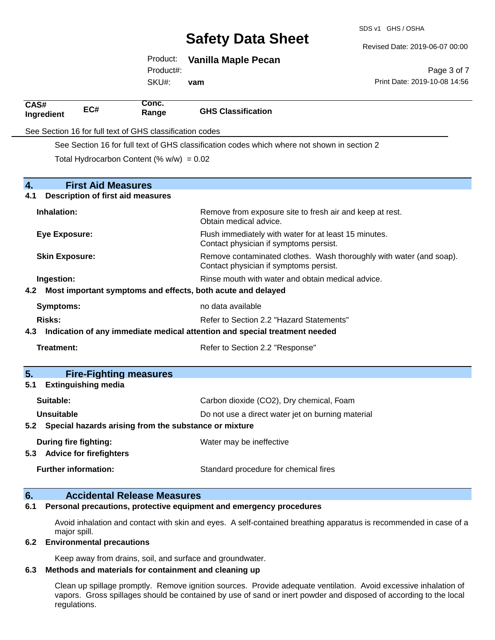SDS v1 GHS / OSHA

Revised Date: 2019-06-07 00:00

|                       |                                          | Product:                                                 | <b>Vanilla Maple Pecan</b>                                                                  |                                                                     |
|-----------------------|------------------------------------------|----------------------------------------------------------|---------------------------------------------------------------------------------------------|---------------------------------------------------------------------|
|                       |                                          | Product#:                                                |                                                                                             | Page 3 of 7                                                         |
|                       |                                          | SKU#:                                                    | vam                                                                                         | Print Date: 2019-10-08 14:56                                        |
| CAS#<br>Ingredient    | EC#                                      | Conc.<br>Range                                           | <b>GHS Classification</b>                                                                   |                                                                     |
|                       |                                          | See Section 16 for full text of GHS classification codes |                                                                                             |                                                                     |
|                       |                                          |                                                          | See Section 16 for full text of GHS classification codes which where not shown in section 2 |                                                                     |
|                       |                                          | Total Hydrocarbon Content (% $w/w$ ) = 0.02              |                                                                                             |                                                                     |
| 4.                    | <b>First Aid Measures</b>                |                                                          |                                                                                             |                                                                     |
| 4.1                   | <b>Description of first aid measures</b> |                                                          |                                                                                             |                                                                     |
| Inhalation:           |                                          |                                                          | Obtain medical advice.                                                                      | Remove from exposure site to fresh air and keep at rest.            |
| <b>Eye Exposure:</b>  |                                          |                                                          | Contact physician if symptoms persist.                                                      | Flush immediately with water for at least 15 minutes.               |
| <b>Skin Exposure:</b> |                                          |                                                          | Contact physician if symptoms persist.                                                      | Remove contaminated clothes. Wash thoroughly with water (and soap). |
| Ingestion:            |                                          |                                                          |                                                                                             | Rinse mouth with water and obtain medical advice.                   |
|                       |                                          |                                                          | 4.2 Most important symptoms and effects, both acute and delayed                             |                                                                     |
| <b>Symptoms:</b>      |                                          | no data available                                        |                                                                                             |                                                                     |
| <b>Risks:</b>         | Refer to Section 2.2 "Hazard Statements" |                                                          |                                                                                             |                                                                     |
| 4.3                   |                                          |                                                          | Indication of any immediate medical attention and special treatment needed                  |                                                                     |
| Treatment:            |                                          |                                                          | Refer to Section 2.2 "Response"                                                             |                                                                     |
| 5.                    |                                          | <b>Fire-Fighting measures</b>                            |                                                                                             |                                                                     |
| 5.1                   | <b>Extinguishing media</b>               |                                                          |                                                                                             |                                                                     |
| Suitable:             |                                          |                                                          | Carbon dioxide (CO2), Dry chemical, Foam                                                    |                                                                     |
| <b>Unsuitable</b>     |                                          |                                                          | Do not use a direct water jet on burning material                                           |                                                                     |
| 5.2                   |                                          |                                                          | Special hazards arising from the substance or mixture                                       |                                                                     |
|                       | During fire fighting:                    |                                                          | Water may be ineffective                                                                    |                                                                     |
| 5.3                   | <b>Advice for firefighters</b>           |                                                          |                                                                                             |                                                                     |
|                       | <b>Further information:</b>              |                                                          | Standard procedure for chemical fires                                                       |                                                                     |
| 6.                    |                                          | <b>Accidental Release Measures</b>                       |                                                                                             |                                                                     |

#### **6.1 Personal precautions, protective equipment and emergency procedures**

Avoid inhalation and contact with skin and eyes. A self-contained breathing apparatus is recommended in case of a major spill.

#### **6.2 Environmental precautions**

Keep away from drains, soil, and surface and groundwater.

#### **6.3 Methods and materials for containment and cleaning up**

Clean up spillage promptly. Remove ignition sources. Provide adequate ventilation. Avoid excessive inhalation of vapors. Gross spillages should be contained by use of sand or inert powder and disposed of according to the local regulations.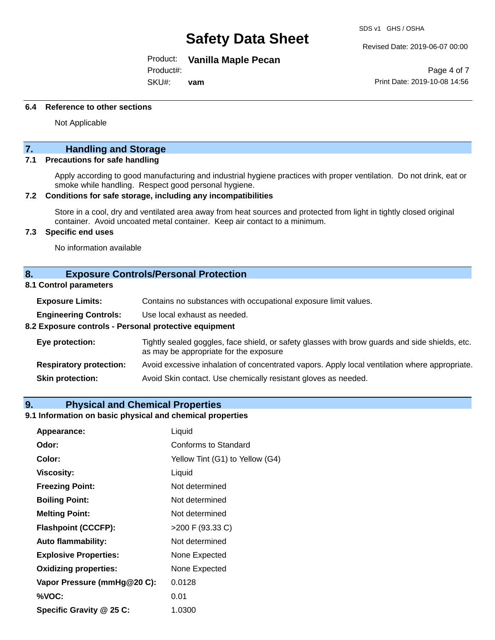Product: **Vanilla Maple Pecan**

Product#:

SKU#: **vam** SDS v1 GHS / OSHA

Revised Date: 2019-06-07 00:00

Page 4 of 7 Print Date: 2019-10-08 14:56

#### **6.4 Reference to other sections**

Not Applicable

### **7. Handling and Storage**

#### **7.1 Precautions for safe handling**

Apply according to good manufacturing and industrial hygiene practices with proper ventilation. Do not drink, eat or smoke while handling. Respect good personal hygiene.

#### **7.2 Conditions for safe storage, including any incompatibilities**

Store in a cool, dry and ventilated area away from heat sources and protected from light in tightly closed original container. Avoid uncoated metal container. Keep air contact to a minimum.

#### **7.3 Specific end uses**

No information available

#### **8. Exposure Controls/Personal Protection**

#### **8.1 Control parameters**

| <b>Exposure Limits:</b> |  | Contains no substances with occupational exposure limit values. |
|-------------------------|--|-----------------------------------------------------------------|
|-------------------------|--|-----------------------------------------------------------------|

**Engineering Controls:** Use local exhaust as needed.

#### **8.2 Exposure controls - Personal protective equipment**

| Eye protection:                | Tightly sealed goggles, face shield, or safety glasses with brow guards and side shields, etc.<br>as may be appropriate for the exposure |
|--------------------------------|------------------------------------------------------------------------------------------------------------------------------------------|
| <b>Respiratory protection:</b> | Avoid excessive inhalation of concentrated vapors. Apply local ventilation where appropriate.                                            |
| <b>Skin protection:</b>        | Avoid Skin contact. Use chemically resistant gloves as needed.                                                                           |

#### **9. Physical and Chemical Properties**

#### **9.1 Information on basic physical and chemical properties**

| Appearance:                  | Liquid                          |
|------------------------------|---------------------------------|
| Odor:                        | Conforms to Standard            |
| Color:                       | Yellow Tint (G1) to Yellow (G4) |
| <b>Viscosity:</b>            | Liquid                          |
| <b>Freezing Point:</b>       | Not determined                  |
| <b>Boiling Point:</b>        | Not determined                  |
| <b>Melting Point:</b>        | Not determined                  |
| <b>Flashpoint (CCCFP):</b>   | >200 F (93.33 C)                |
| <b>Auto flammability:</b>    | Not determined                  |
| <b>Explosive Properties:</b> | None Expected                   |
| <b>Oxidizing properties:</b> | None Expected                   |
| Vapor Pressure (mmHg@20 C):  | 0.0128                          |
| %VOC:                        | 0.01                            |
| Specific Gravity @ 25 C:     | 1.0300                          |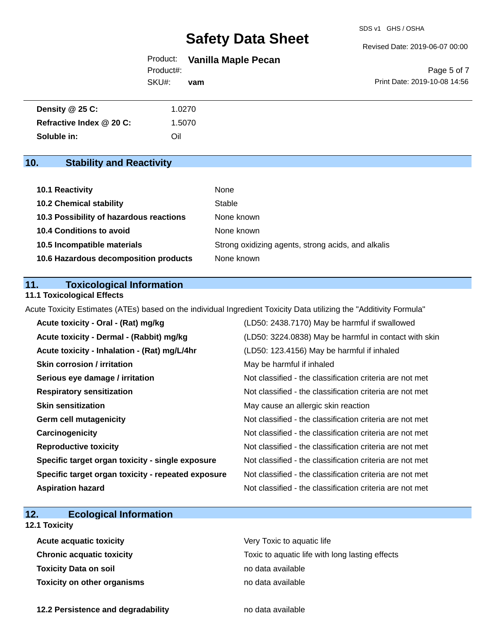Revised Date: 2019-06-07 00:00

Product: **Vanilla Maple Pecan** SKU#: Product#: **vam**

Page 5 of 7 Print Date: 2019-10-08 14:56

| Density @ 25 C:          | 1.0270 |  |
|--------------------------|--------|--|
| Refractive Index @ 20 C: | 1.5070 |  |
| Soluble in:              | Oil    |  |

# **10. Stability and Reactivity**

| 10.1 Reactivity                         | None                                               |
|-----------------------------------------|----------------------------------------------------|
| <b>10.2 Chemical stability</b>          | Stable                                             |
| 10.3 Possibility of hazardous reactions | None known                                         |
| <b>10.4 Conditions to avoid</b>         | None known                                         |
| 10.5 Incompatible materials             | Strong oxidizing agents, strong acids, and alkalis |
| 10.6 Hazardous decomposition products   | None known                                         |

### **11. Toxicological Information**

#### **11.1 Toxicological Effects**

Acute Toxicity Estimates (ATEs) based on the individual Ingredient Toxicity Data utilizing the "Additivity Formula"

| Acute toxicity - Oral - (Rat) mg/kg                | (LD50: 2438.7170) May be harmful if swallowed            |
|----------------------------------------------------|----------------------------------------------------------|
| Acute toxicity - Dermal - (Rabbit) mg/kg           | (LD50: 3224.0838) May be harmful in contact with skin    |
| Acute toxicity - Inhalation - (Rat) mg/L/4hr       | (LD50: 123.4156) May be harmful if inhaled               |
| <b>Skin corrosion / irritation</b>                 | May be harmful if inhaled                                |
| Serious eye damage / irritation                    | Not classified - the classification criteria are not met |
| <b>Respiratory sensitization</b>                   | Not classified - the classification criteria are not met |
| <b>Skin sensitization</b>                          | May cause an allergic skin reaction                      |
| <b>Germ cell mutagenicity</b>                      | Not classified - the classification criteria are not met |
| Carcinogenicity                                    | Not classified - the classification criteria are not met |
| <b>Reproductive toxicity</b>                       | Not classified - the classification criteria are not met |
| Specific target organ toxicity - single exposure   | Not classified - the classification criteria are not met |
| Specific target organ toxicity - repeated exposure | Not classified - the classification criteria are not met |
| <b>Aspiration hazard</b>                           | Not classified - the classification criteria are not met |

# **12. Ecological Information**

### **12.1 Toxicity**

| <b>Acute acquatic toxicity</b>   | Very Toxic to aquatic life                      |
|----------------------------------|-------------------------------------------------|
| <b>Chronic acquatic toxicity</b> | Toxic to aquatic life with long lasting effects |
| Toxicity Data on soil            | no data available                               |
| Toxicity on other organisms      | no data available                               |

**12.2 Persistence and degradability no data available**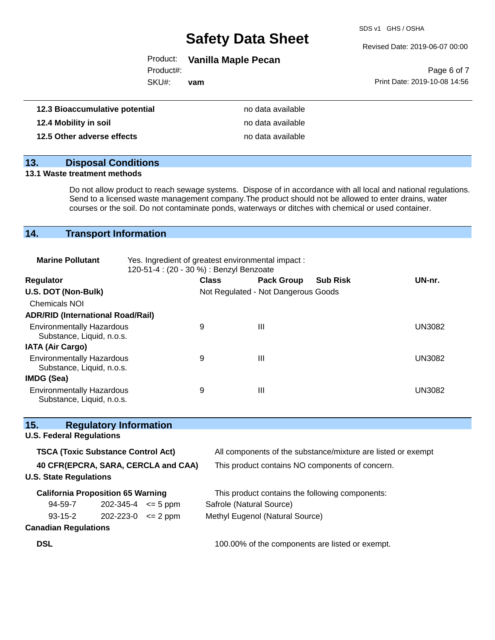SDS v1 GHS / OSHA

#### Revised Date: 2019-06-07 00:00

# Product: **Vanilla Maple Pecan**

Product#:

SKU#: **vam**

|                              | Page 6 of 7 |  |
|------------------------------|-------------|--|
| Print Date: 2019-10-08 14:56 |             |  |

| 12.3 Bioaccumulative potential | no data available |
|--------------------------------|-------------------|
| 12.4 Mobility in soil          | no data available |
| 12.5 Other adverse effects     | no data available |

# **13. Disposal Conditions**

#### **13.1 Waste treatment methods**

Do not allow product to reach sewage systems. Dispose of in accordance with all local and national regulations. Send to a licensed waste management company.The product should not be allowed to enter drains, water courses or the soil. Do not contaminate ponds, waterways or ditches with chemical or used container.

# **14. Transport Information**

| <b>Marine Pollutant</b>                                       | Yes. Ingredient of greatest environmental impact:<br>120-51-4 : (20 - 30 %) : Benzyl Benzoate |              |                                     |                 |               |  |
|---------------------------------------------------------------|-----------------------------------------------------------------------------------------------|--------------|-------------------------------------|-----------------|---------------|--|
| <b>Regulator</b>                                              |                                                                                               | <b>Class</b> | <b>Pack Group</b>                   | <b>Sub Risk</b> | UN-nr.        |  |
| U.S. DOT (Non-Bulk)                                           |                                                                                               |              | Not Regulated - Not Dangerous Goods |                 |               |  |
| <b>Chemicals NOI</b>                                          |                                                                                               |              |                                     |                 |               |  |
| <b>ADR/RID (International Road/Rail)</b>                      |                                                                                               |              |                                     |                 |               |  |
| <b>Environmentally Hazardous</b><br>Substance, Liquid, n.o.s. |                                                                                               | 9            | Ш                                   |                 | <b>UN3082</b> |  |
| <b>IATA (Air Cargo)</b>                                       |                                                                                               |              |                                     |                 |               |  |
| <b>Environmentally Hazardous</b><br>Substance, Liquid, n.o.s. |                                                                                               | 9            | Ш                                   |                 | <b>UN3082</b> |  |
| IMDG (Sea)                                                    |                                                                                               |              |                                     |                 |               |  |
| <b>Environmentally Hazardous</b><br>Substance, Liquid, n.o.s. |                                                                                               | 9            | Ш                                   |                 | UN3082        |  |

| 15.                                       | <b>Regulatory Information</b> |  |                                                              |  |
|-------------------------------------------|-------------------------------|--|--------------------------------------------------------------|--|
| <b>U.S. Federal Regulations</b>           |                               |  |                                                              |  |
| <b>TSCA (Toxic Substance Control Act)</b> |                               |  | All components of the substance/mixture are listed or exempt |  |
| 40 CFR(EPCRA, SARA, CERCLA and CAA)       |                               |  | This product contains NO components of concern.              |  |
| <b>U.S. State Regulations</b>             |                               |  |                                                              |  |
| <b>California Proposition 65 Warning</b>  |                               |  | This product contains the following components:              |  |
| 94-59-7                                   | $202 - 345 - 4 \leq 5$ ppm    |  | Safrole (Natural Source)                                     |  |
| $93 - 15 - 2$                             | $202 - 223 - 0 \leq 2$ ppm    |  | Methyl Eugenol (Natural Source)                              |  |
| <b>Canadian Regulations</b>               |                               |  |                                                              |  |
| <b>DSL</b>                                |                               |  | 100.00% of the components are listed or exempt.              |  |